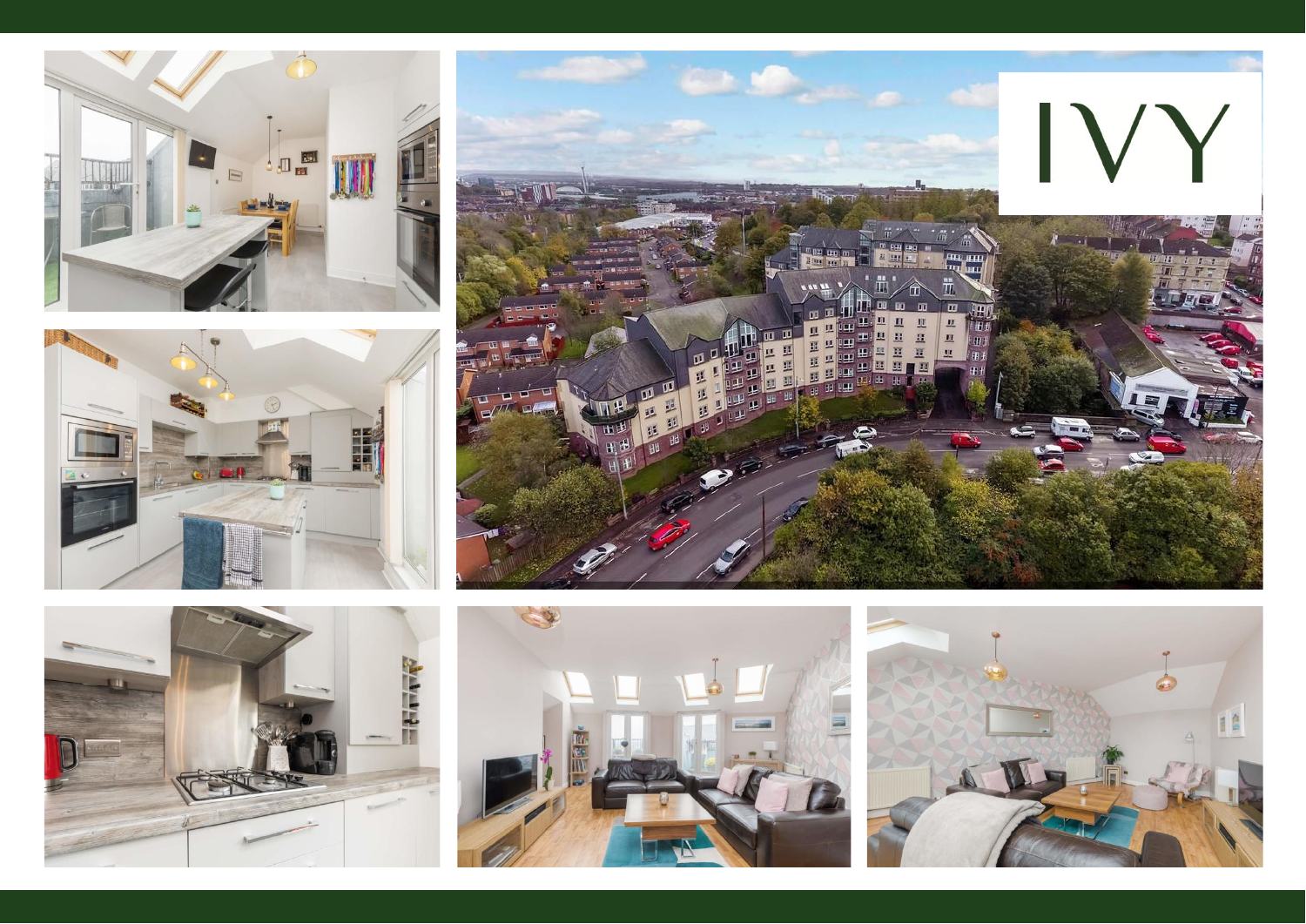









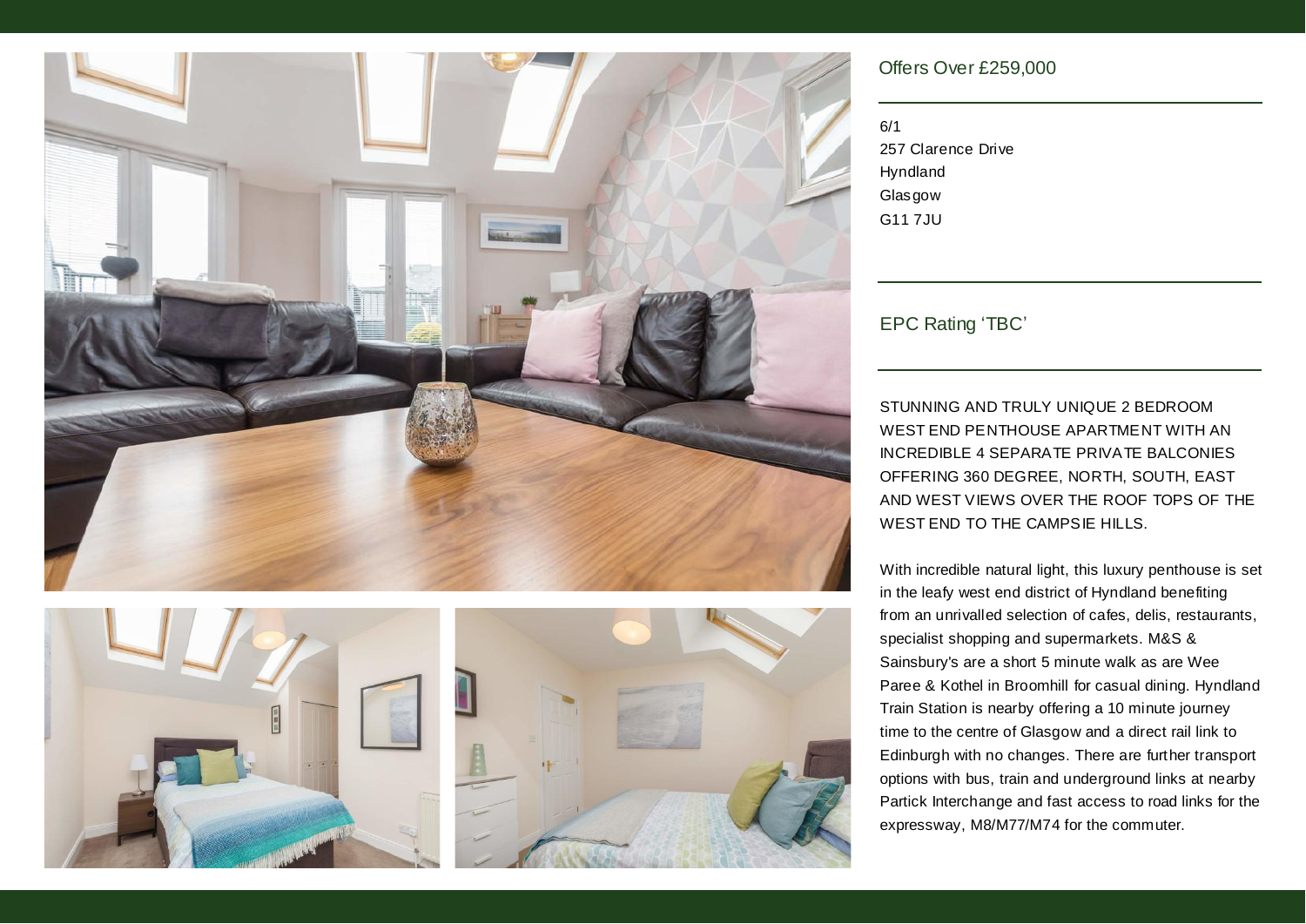



## Offers Over £259,000

6/1 257 Clarence Drive Hyndland **Glasgow** G11 7JU

EPC Rating 'TBC'

STUNNING AND TRULY UNIQUE 2 BEDROOM WEST END PENTHOUSE APARTMENT WITH AN INCREDIBLE 4 SEPARATE PRIVATE BALCONIES OFFERING 360 DEGREE, NORTH, SOUTH, EAST AND WEST VIEWS OVER THE ROOF TOPS OF THE WEST END TO THE CAMPSIE HILLS.

With incredible natural light, this luxury penthouse is set in the leafy west end district of Hyndland benefiting from an unrivalled selection of cafes, delis, restaurants, specialist shopping and supermarkets. M&S & Sainsbury's are a short 5 minute walk as are Wee Paree & Kothel in Broomhill for casual dining. Hyndland Train Station is nearby offering a 10 minute journey time to the centre of Glasgow and a direct rail link to Edinburgh with no changes. There are further transport options with bus, train and underground links at nearby Partick Interchange and fast access to road links for the expressway, M8/M77/M74 for the commuter.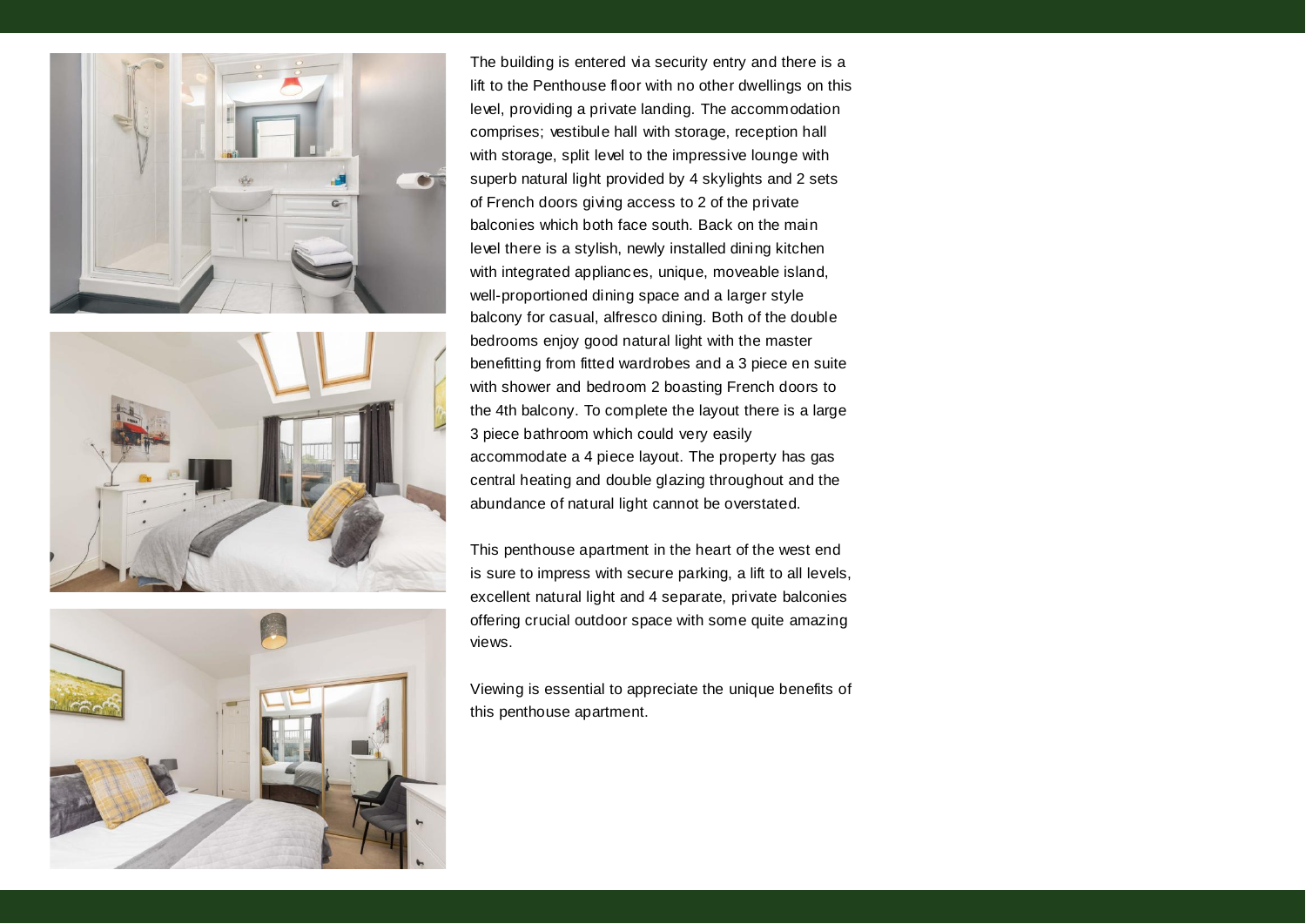





The building is entered via security entry and there is a lift to the Penthouse floor with no other dwellings on this level, providing a private landing. The accommodation comprises; vestibule hall with storage, reception hall with storage, split level to the impressive lounge with superb natural light provided by 4 skylights and 2 sets of French doors giving access to 2 of the private balconies which both face south. Back on the main level there is a stylish, newly installed dining kitchen with integrated appliances, unique, moveable island, well-proportioned dining space and a larger style balcony for casual, alfresco dining. Both of the double bedrooms enjoy good natural light with the master benefitting from fitted wardrobes and a 3 piece en suite with shower and bedroom 2 boasting French doors to the 4th balcony. To complete the layout there is a large 3 piece bathroom which could very easily accommodate a 4 piece layout. The property has gas central heating and double glazing throughout and the abundance of natural light cannot be overstated.

This penthouse apartment in the heart of the west end is sure to impress with secure parking, a lift to all levels, excellent natural light and 4 separate, private balconies offering crucial outdoor space with some quite amazing views.

Viewing is essential to appreciate the unique benefits of this penthouse apartment.